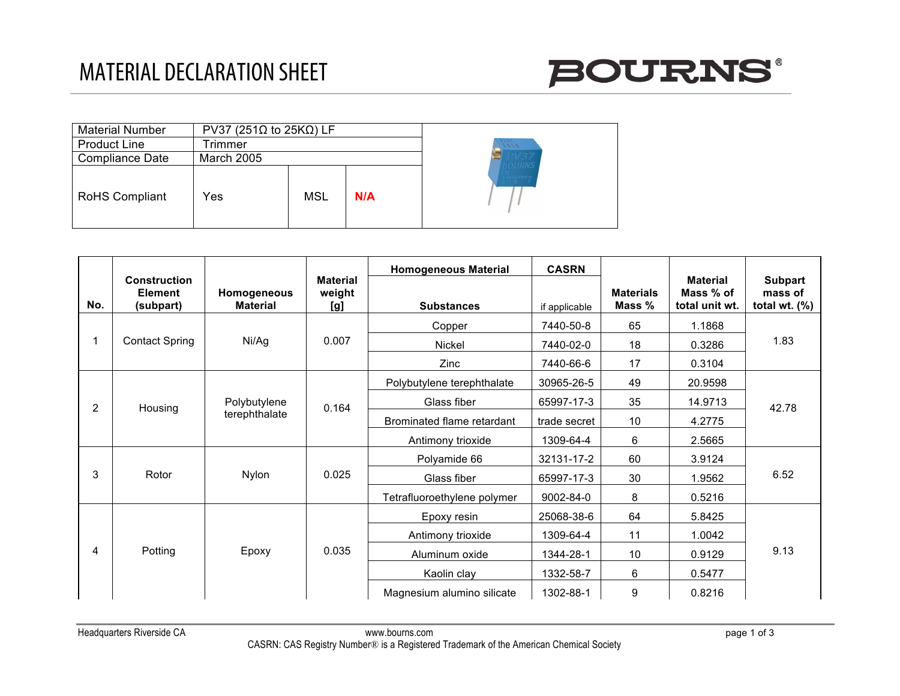

| <b>Material Number</b> | PV37 (251 $\Omega$ to 25K $\Omega$ ) LF |     |     |              |
|------------------------|-----------------------------------------|-----|-----|--------------|
| <b>Product Line</b>    | Trimmer                                 |     |     | 9286<br>1103 |
| Compliance Date        | March 2005                              |     |     |              |
| RoHS Compliant         | Yes                                     | MSL | N/A |              |

| No.            | <b>Construction</b><br><b>Element</b><br>(subpart) | Homogeneous<br><b>Material</b> | <b>Material</b><br>weight<br>[g] | <b>Homogeneous Material</b><br><b>Substances</b> | <b>CASRN</b><br>if applicable | <b>Materials</b><br>Mass % | <b>Material</b><br>Mass % of<br>total unit wt. | <b>Subpart</b><br>mass of<br>total wt. $(\%)$ |
|----------------|----------------------------------------------------|--------------------------------|----------------------------------|--------------------------------------------------|-------------------------------|----------------------------|------------------------------------------------|-----------------------------------------------|
|                |                                                    | Ni/Ag                          | 0.007                            | Copper                                           | 7440-50-8                     | 65                         | 1.1868                                         | 1.83                                          |
|                | <b>Contact Spring</b>                              |                                |                                  | Nickel                                           | 7440-02-0                     | 18                         | 0.3286                                         |                                               |
|                |                                                    |                                |                                  | Zinc                                             | 7440-66-6                     | 17                         | 0.3104                                         |                                               |
| $\overline{2}$ |                                                    | Polybutylene<br>terephthalate  | 0.164                            | Polybutylene terephthalate                       | 30965-26-5                    | 49                         | 20.9598                                        | 42.78                                         |
|                | Housing                                            |                                |                                  | Glass fiber                                      | 65997-17-3                    | 35                         | 14.9713                                        |                                               |
|                |                                                    |                                |                                  | Brominated flame retardant                       | trade secret                  | 10                         | 4.2775                                         |                                               |
|                |                                                    |                                |                                  | Antimony trioxide                                | 1309-64-4                     | 6                          | 2.5665                                         |                                               |
| 3              | Rotor                                              | Nylon                          | 0.025                            | Polyamide 66                                     | 32131-17-2                    | 60                         | 3.9124                                         | 6.52                                          |
|                |                                                    |                                |                                  | Glass fiber                                      | 65997-17-3                    | 30                         | 1.9562                                         |                                               |
|                |                                                    |                                |                                  | Tetrafluoroethylene polymer                      | 9002-84-0                     | 8                          | 0.5216                                         |                                               |
| 4              | Potting                                            | Epoxy                          | 0.035                            | Epoxy resin                                      | 25068-38-6                    | 64                         | 5.8425                                         | 9.13                                          |
|                |                                                    |                                |                                  | Antimony trioxide                                | 1309-64-4                     | 11                         | 1.0042                                         |                                               |
|                |                                                    |                                |                                  | Aluminum oxide                                   | 1344-28-1                     | 10                         | 0.9129                                         |                                               |
|                |                                                    |                                |                                  | Kaolin clay                                      | 1332-58-7                     | 6                          | 0.5477                                         |                                               |
|                |                                                    |                                |                                  | Magnesium alumino silicate                       | 1302-88-1                     | 9                          | 0.8216                                         |                                               |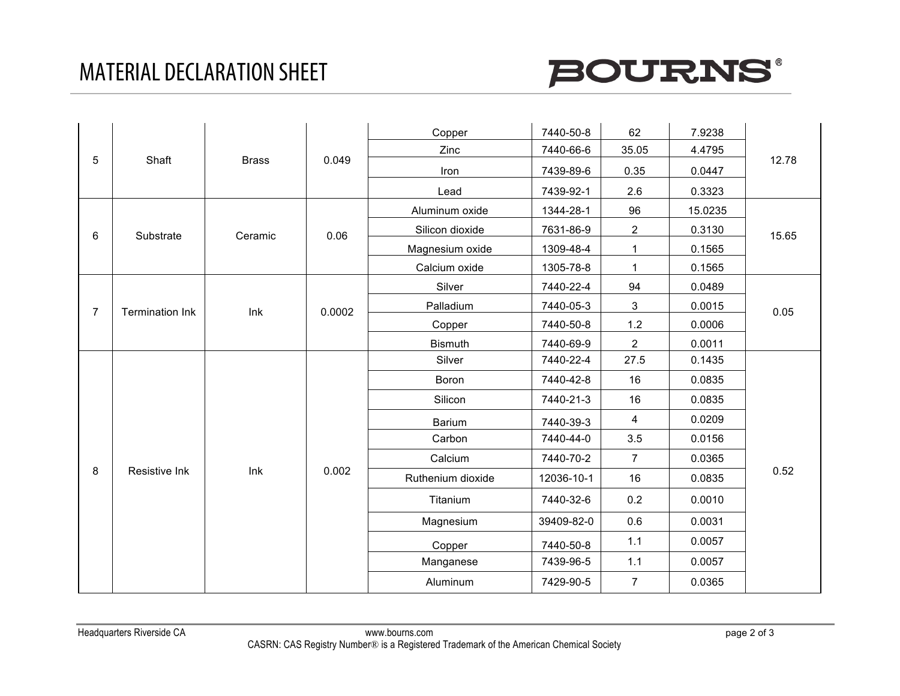

| 5              | Shaft                  | <b>Brass</b> | 0.049  | Copper            | 7440-50-8  | 62                      | 7.9238  | 12.78 |
|----------------|------------------------|--------------|--------|-------------------|------------|-------------------------|---------|-------|
|                |                        |              |        | Zinc              | 7440-66-6  | 35.05                   | 4.4795  |       |
|                |                        |              |        | Iron              | 7439-89-6  | 0.35                    | 0.0447  |       |
|                |                        |              |        | Lead              | 7439-92-1  | 2.6                     | 0.3323  |       |
|                | Substrate              |              | 0.06   | Aluminum oxide    | 1344-28-1  | 96                      | 15.0235 | 15.65 |
| 6              |                        | Ceramic      |        | Silicon dioxide   | 7631-86-9  | $\overline{2}$          | 0.3130  |       |
|                |                        |              |        | Magnesium oxide   | 1309-48-4  | $\mathbf 1$             | 0.1565  |       |
|                |                        |              |        | Calcium oxide     | 1305-78-8  | $\mathbf 1$             | 0.1565  |       |
|                |                        |              | 0.0002 | Silver            | 7440-22-4  | 94                      | 0.0489  | 0.05  |
| $\overline{7}$ | <b>Termination Ink</b> | Ink          |        | Palladium         | 7440-05-3  | $\mathbf{3}$            | 0.0015  |       |
|                |                        |              |        | Copper            | 7440-50-8  | 1.2                     | 0.0006  |       |
|                |                        |              |        | <b>Bismuth</b>    | 7440-69-9  | $\overline{2}$          | 0.0011  |       |
|                | Resistive Ink          | Ink          | 0.002  | Silver            | 7440-22-4  | 27.5                    | 0.1435  | 0.52  |
|                |                        |              |        | Boron             | 7440-42-8  | 16                      | 0.0835  |       |
|                |                        |              |        | Silicon           | 7440-21-3  | 16                      | 0.0835  |       |
|                |                        |              |        | Barium            | 7440-39-3  | $\overline{\mathbf{4}}$ | 0.0209  |       |
|                |                        |              |        | Carbon            | 7440-44-0  | 3.5                     | 0.0156  |       |
|                |                        |              |        | Calcium           | 7440-70-2  | $\overline{7}$          | 0.0365  |       |
| 8              |                        |              |        | Ruthenium dioxide | 12036-10-1 | 16                      | 0.0835  |       |
|                |                        |              |        | Titanium          | 7440-32-6  | 0.2                     | 0.0010  |       |
|                |                        |              |        | Magnesium         | 39409-82-0 | 0.6                     | 0.0031  |       |
|                |                        |              |        | Copper            | 7440-50-8  | 1.1                     | 0.0057  |       |
|                |                        |              |        | Manganese         | 7439-96-5  | 1.1                     | 0.0057  |       |
|                |                        |              |        | Aluminum          | 7429-90-5  | $\overline{7}$          | 0.0365  |       |